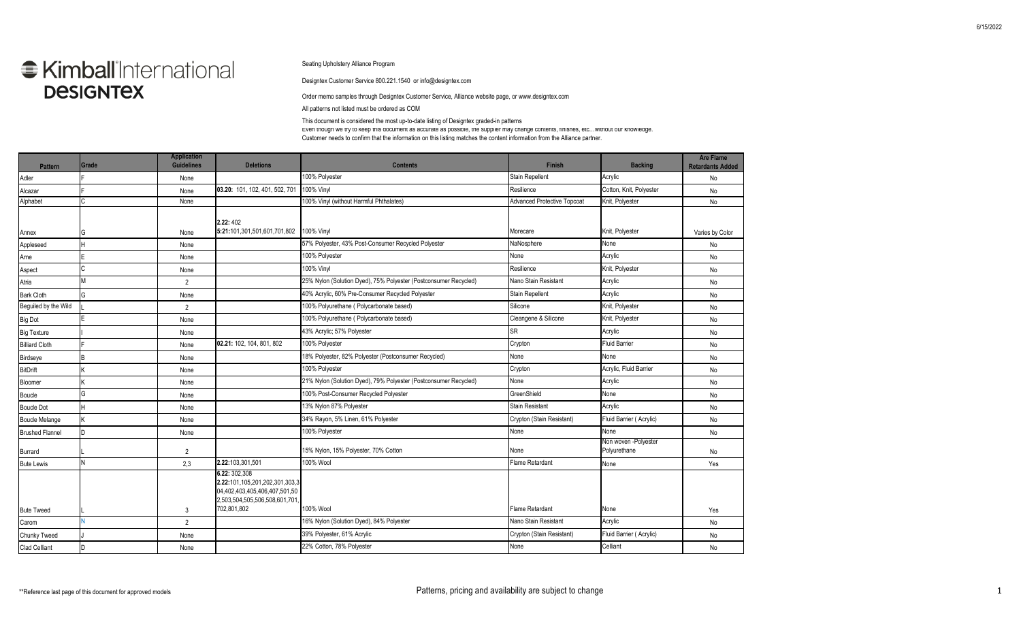## **Kimball** International **DESIGNTEX**

## Seating Upholstery Alliance Program

Designtex Customer Service 800.221.1540 or info@designtex.com

Order memo samples through Designtex Customer Service, Alliance website page, or www.designtex.com

All patterns not listed must be ordered as COM

This document is considered the most up-to-date listing of Designtex graded-in patterns

Even though we try to keep this document as accurate as possible, the supplier may change contents, finishes, etc…without our knowledge. Customer needs to confirm that the information on this listing matches the content information from the Alliance partner.

| <b>Pattern</b>         | Grade | <b>Application</b><br><b>Guidelines</b> | <b>Deletions</b>                                                                                                                 | <b>Contents</b>                                                  | <b>Finish</b>                      | <b>Backing</b>                       | <b>Are Flame</b><br><b>Retardants Added</b> |
|------------------------|-------|-----------------------------------------|----------------------------------------------------------------------------------------------------------------------------------|------------------------------------------------------------------|------------------------------------|--------------------------------------|---------------------------------------------|
| Adler                  |       | None                                    |                                                                                                                                  | 100% Polyester                                                   | <b>Stain Repellent</b>             | Acrylic                              | No                                          |
| Alcazar                |       | None                                    | 03.20: 101, 102, 401, 502, 701                                                                                                   | <b>100% Vinyl</b>                                                | Resilience                         | Cotton, Knit, Polyester              | No                                          |
| Alphabet               |       | None                                    |                                                                                                                                  | 100% Vinyl (without Harmful Phthalates)                          | <b>Advanced Protective Topcoat</b> | Knit, Polyester                      | No                                          |
| Annex                  | G     | None                                    | 2.22:402<br>5:21:101,301,501,601,701,802                                                                                         | 100% Vinyl                                                       | Morecare                           | Knit, Polyester                      | Varies by Color                             |
| Appleseed              |       | None                                    |                                                                                                                                  | 57% Polyester, 43% Post-Consumer Recycled Polyester              | NaNosphere                         | None                                 | No                                          |
| Arne                   |       | None                                    |                                                                                                                                  | 100% Polyester                                                   | None                               | Acrylic                              | No                                          |
| Aspect                 |       | None                                    |                                                                                                                                  | <b>100% Vinyl</b>                                                | Resilience                         | Knit, Polyester                      | No                                          |
| Atria                  | M     | $\overline{2}$                          |                                                                                                                                  | 25% Nylon (Solution Dyed), 75% Polyester (Postconsumer Recycled) | Nano Stain Resistant               | Acrylic                              | No                                          |
| <b>Bark Cloth</b>      | G     | None                                    |                                                                                                                                  | 40% Acrylic, 60% Pre-Consumer Recycled Polyester                 | <b>Stain Repellent</b>             | Acrylic                              | No                                          |
| Beguiled by the Wild   |       | $\overline{2}$                          |                                                                                                                                  | 100% Polyurethane (Polycarbonate based)                          | Silicone                           | Knit, Polyester                      | No                                          |
| <b>Big Dot</b>         |       | None                                    |                                                                                                                                  | 100% Polyurethane (Polycarbonate based)                          | Cleangene & Silicone               | Knit, Polyester                      | No                                          |
| <b>Big Texture</b>     |       | None                                    |                                                                                                                                  | 43% Acrylic; 57% Polyester                                       | SR                                 | Acrylic                              | No                                          |
| <b>Billiard Cloth</b>  |       | None                                    | 02.21: 102, 104, 801, 802                                                                                                        | 100% Polyester                                                   | Crypton                            | <b>Fluid Barrier</b>                 | No                                          |
| Birdseye               |       | None                                    |                                                                                                                                  | 18% Polyester, 82% Polyester (Postconsumer Recycled)             | None                               | None                                 | No                                          |
| <b>BitDrift</b>        |       | None                                    |                                                                                                                                  | 100% Polyester                                                   | Crypton                            | Acrylic, Fluid Barrier               | No                                          |
| Bloomer                |       | None                                    |                                                                                                                                  | 21% Nylon (Solution Dyed), 79% Polyester (Postconsumer Recycled) | None                               | Acrylic                              | No                                          |
| <b>Boucle</b>          | G     | None                                    |                                                                                                                                  | 100% Post-Consumer Recycled Polyester                            | GreenShield                        | None                                 | No                                          |
| <b>Boucle Dot</b>      |       | None                                    |                                                                                                                                  | 13% Nylon 87% Polyester                                          | <b>Stain Resistant</b>             | Acrylic                              | No                                          |
| <b>Boucle Melange</b>  |       | None                                    |                                                                                                                                  | 34% Rayon, 5% Linen, 61% Polyester                               | Crypton (Stain Resistant)          | Fluid Barrier (Acrylic)              | No                                          |
| <b>Brushed Flannel</b> | D     | None                                    |                                                                                                                                  | 100% Polyester                                                   | None                               | None                                 | No                                          |
| Burrard                |       | $\overline{2}$                          |                                                                                                                                  | 15% Nylon, 15% Polyester, 70% Cotton                             | None                               | Non woven -Polyester<br>Polyurethane | No                                          |
| <b>Bute Lewis</b>      |       | 2,3                                     | 2.22:103,301,501                                                                                                                 | 100% Wool                                                        | <b>Flame Retardant</b>             | None                                 | Yes                                         |
| <b>Bute Tweed</b>      |       | 3                                       | 6.22: 302,308<br>2.22:101,105,201,202,301,303,3<br>04,402,403,405,406,407,501,50<br>2,503,504,505,506,508,601,701<br>702,801,802 | 100% Wool                                                        | <b>Flame Retardant</b>             | None                                 | Yes                                         |
| Carom                  |       | $\overline{2}$                          |                                                                                                                                  | 16% Nylon (Solution Dyed), 84% Polyester                         | Nano Stain Resistant               | Acrylic                              | No                                          |
| Chunky Tweed           |       | None                                    |                                                                                                                                  | 39% Polyester, 61% Acrylic                                       | Crypton (Stain Resistant)          | Fluid Barrier (Acrylic)              | No                                          |
| <b>Clad Celliant</b>   | D     | None                                    |                                                                                                                                  | 22% Cotton, 78% Polyester                                        | None                               | Celliant                             | No                                          |
|                        |       |                                         |                                                                                                                                  |                                                                  |                                    |                                      |                                             |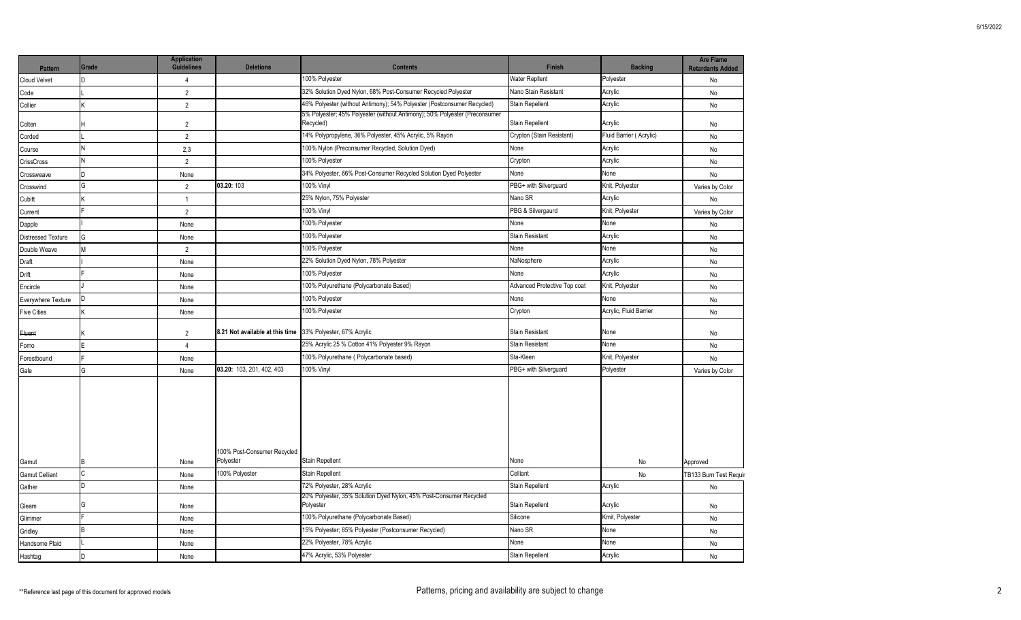| <b>Pattern</b>            | Grade | <b>Application</b><br><b>Guidelines</b> | <b>Deletions</b>                                           | <b>Contents</b>                                                                         | <b>Finish</b>                | <b>Backing</b>          | <b>Are Flame</b><br><b>Retardants Added</b> |
|---------------------------|-------|-----------------------------------------|------------------------------------------------------------|-----------------------------------------------------------------------------------------|------------------------------|-------------------------|---------------------------------------------|
| Cloud Velvet              |       | $\overline{4}$                          |                                                            | 100% Polyester                                                                          | <b>Water Repllent</b>        | Polyester               | No                                          |
| Code                      |       | $\overline{2}$                          |                                                            | 32% Solution Dyed Nylon, 68% Post-Consumer Recycled Polyester                           | Nano Stain Resistant         | Acrylic                 | No                                          |
| Collier                   |       | $\overline{2}$                          |                                                            | 46% Polyester (without Antimony); 54% Polyester (Postconsumer Recycled)                 | Stain Repellent              | Acrylic                 | No                                          |
| Colten                    |       | $\overline{2}$                          |                                                            | 5% Polyester; 45% Polyester (without Antimony); 50% Polyester (Preconsumer<br>Recycled) | Stain Repellent              | Acrylic                 | No                                          |
| Corded                    |       | $\overline{2}$                          |                                                            | 14% Polypropylene, 36% Polyester, 45% Acrylic, 5% Rayon                                 | Crypton (Stain Resistant)    | Fluid Barrier (Acrylic) | No                                          |
| Course                    | N     | 2,3                                     |                                                            | 100% Nylon (Preconsumer Recycled, Solution Dyed)                                        | None                         | Acrylic                 | No                                          |
| <b>CrissCross</b>         | N     | $\overline{2}$                          |                                                            | 100% Polyester                                                                          | Crypton                      | Acrylic                 | No                                          |
| Crossweave                | n.    | None                                    |                                                            | 34% Polyester, 66% Post-Consumer Recycled Solution Dyed Polyester                       | None                         | None                    | No                                          |
| Crosswind                 | G     | 2                                       | 03.20: 103                                                 | 100% Vinyl                                                                              | PBG+ with Silverguard        | Knit, Polyester         | Varies by Color                             |
| Cubitt                    |       | $\mathbf{1}$                            |                                                            | 25% Nylon, 75% Polyester                                                                | Nano SR                      | Acrylic                 | No                                          |
| Current                   |       | $\overline{2}$                          |                                                            | 100% Vinyl                                                                              | PBG & Silvergaurd            | Knit, Polyester         | Varies by Color                             |
| Dapple                    |       | None                                    |                                                            | 100% Polyester                                                                          | None                         | None                    | No                                          |
| <b>Distressed Texture</b> | G     | None                                    |                                                            | 100% Polyester                                                                          | Stain Resistant              | Acrylic                 | No                                          |
| Double Weave              | M     | $\overline{2}$                          |                                                            | 100% Polyester                                                                          | None                         | None                    | No                                          |
| Draft                     |       | None                                    |                                                            | 22% Solution Dyed Nylon, 78% Polyester                                                  | NaNosphere                   | Acrylic                 | No                                          |
| Drift                     |       | None                                    |                                                            | 100% Polyester                                                                          | None                         | Acrylic                 | No                                          |
| Encircle                  |       | None                                    |                                                            | 00% Polyurethane (Polycarbonate Based)                                                  | Advanced Protective Top coat | Knit, Polyester         | No                                          |
| Everywhere Texture        |       | None                                    |                                                            | 100% Polyester                                                                          | None                         | None                    | No                                          |
| <b>Five Cities</b>        |       | None                                    |                                                            | 100% Polyester                                                                          | Crypton                      | Acrylic, Fluid Barrier  | No                                          |
| <del>Fluent</del>         |       | 2                                       | 8.21 Not available at this time 33% Polyester, 67% Acrylic |                                                                                         | Stain Resistant              | None                    | No                                          |
| Fomo                      |       | $\overline{4}$                          |                                                            | 25% Acrylic 25 % Cotton 41% Polyester 9% Rayon                                          | Stain Resistant              | None                    | No                                          |
| Forestbound               |       | None                                    |                                                            | 100% Polyurethane (Polycarbonate based)                                                 | Sta-Kleen                    | Knit, Polyester         | No                                          |
| Gale                      | G     | None                                    | 03.20: 103, 201, 402, 403                                  | 100% Vinyl                                                                              | PBG+ with Silverguard        | Polyester               | Varies by Color                             |
|                           |       |                                         | 100% Post-Consumer Recycled                                |                                                                                         |                              |                         |                                             |
| Gamut                     |       | None                                    | Polyester                                                  | Stain Repellent                                                                         | None                         | No                      | Approved                                    |
| <b>Gamut Celliant</b>     |       | None                                    | 100% Polyester                                             | Stain Repellent                                                                         | Celliant                     | <b>No</b>               | TB133 Burn Test Requir                      |
| Gather                    | n.    | None                                    |                                                            | 72% Polyester, 28% Acrylic                                                              | Stain Repellent              | Acrylic                 | No                                          |
| Gleam                     | G     | None                                    |                                                            | 20% Polyester, 35% Solution Dyed Nylon, 45% Post-Consumer Recycled<br>Polyester         | Stain Repellent              | Acrylic                 | No                                          |
| Glimmer                   |       | None                                    |                                                            | 00% Polyurethane (Polycarbonate Based)                                                  | Silicone                     | Kmit, Polyester         | No                                          |
| Gridley                   | B     | None                                    |                                                            | 15% Polyester; 85% Polyester (Postconsumer Recycled)                                    | Nano SR                      | None                    | No                                          |
| Handsome Plaid            |       | None                                    |                                                            | 22% Polyester, 78% Acrylic                                                              | None                         | None                    | No                                          |
| Hashtag                   |       | None                                    |                                                            | 47% Acrylic, 53% Polyester                                                              | Stain Repellent              | Acrylic                 | No                                          |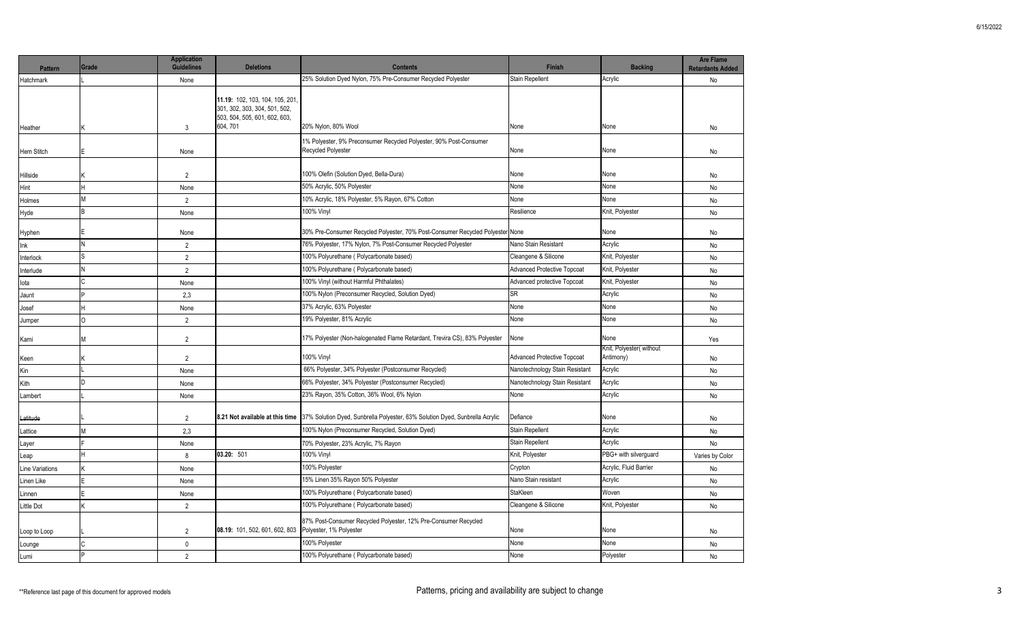| 25% Solution Dyed Nylon, 75% Pre-Consumer Recycled Polyester<br><b>Stain Repellent</b><br>Acrylic<br>None<br><b>Hatchmark</b><br>11.19: 102, 103, 104, 105, 201.<br>301, 302, 303, 304, 501, 502,<br>503, 504, 505, 601, 602, 603,<br>604, 701<br>20% Nylon, 80% Wool<br>None<br>None<br>3<br>Heather<br>1% Polyester, 9% Preconsumer Recycled Polyester, 90% Post-Consumer<br>Recycled Polyester<br>None<br>None<br>Hem Stitch<br>None<br>100% Olefin (Solution Dyed, Bella-Dura)<br>None<br>None<br>$\overline{2}$<br>Hillside<br>50% Acrylic, 50% Polyester<br>None<br>None<br>Hint<br>None<br>M<br>10% Acrylic, 18% Polyester, 5% Rayon, 67% Cotton<br>None<br>None<br>2<br>Holmes<br>100% Vinyl<br>Knit, Polyester<br>Resilience<br>None<br>Hyde<br>30% Pre-Consumer Recycled Polyester, 70% Post-Consumer Recycled Polyester None<br>None<br>Hyphen<br>None<br>N<br>76% Polyester, 17% Nylon, 7% Post-Consumer Recycled Polyester<br>Nano Stain Resistant<br>Acrylic<br>Ink<br>$\overline{2}$<br>100% Polyurethane (Polycarbonate based)<br>Knit, Polyester<br>Cleangene & Silicone<br>$\overline{2}$<br>Interlock |                 |
|--------------------------------------------------------------------------------------------------------------------------------------------------------------------------------------------------------------------------------------------------------------------------------------------------------------------------------------------------------------------------------------------------------------------------------------------------------------------------------------------------------------------------------------------------------------------------------------------------------------------------------------------------------------------------------------------------------------------------------------------------------------------------------------------------------------------------------------------------------------------------------------------------------------------------------------------------------------------------------------------------------------------------------------------------------------------------------------------------------------------------|-----------------|
|                                                                                                                                                                                                                                                                                                                                                                                                                                                                                                                                                                                                                                                                                                                                                                                                                                                                                                                                                                                                                                                                                                                          | No              |
|                                                                                                                                                                                                                                                                                                                                                                                                                                                                                                                                                                                                                                                                                                                                                                                                                                                                                                                                                                                                                                                                                                                          | No              |
|                                                                                                                                                                                                                                                                                                                                                                                                                                                                                                                                                                                                                                                                                                                                                                                                                                                                                                                                                                                                                                                                                                                          | No              |
|                                                                                                                                                                                                                                                                                                                                                                                                                                                                                                                                                                                                                                                                                                                                                                                                                                                                                                                                                                                                                                                                                                                          | No              |
|                                                                                                                                                                                                                                                                                                                                                                                                                                                                                                                                                                                                                                                                                                                                                                                                                                                                                                                                                                                                                                                                                                                          | No              |
|                                                                                                                                                                                                                                                                                                                                                                                                                                                                                                                                                                                                                                                                                                                                                                                                                                                                                                                                                                                                                                                                                                                          | No              |
|                                                                                                                                                                                                                                                                                                                                                                                                                                                                                                                                                                                                                                                                                                                                                                                                                                                                                                                                                                                                                                                                                                                          | No              |
|                                                                                                                                                                                                                                                                                                                                                                                                                                                                                                                                                                                                                                                                                                                                                                                                                                                                                                                                                                                                                                                                                                                          | No              |
|                                                                                                                                                                                                                                                                                                                                                                                                                                                                                                                                                                                                                                                                                                                                                                                                                                                                                                                                                                                                                                                                                                                          | No              |
|                                                                                                                                                                                                                                                                                                                                                                                                                                                                                                                                                                                                                                                                                                                                                                                                                                                                                                                                                                                                                                                                                                                          | No              |
| 100% Polyurethane (Polycarbonate based)<br><b>Advanced Protective Topcoat</b><br>Knit, Polyester<br>N<br>$\overline{2}$<br>Interlude                                                                                                                                                                                                                                                                                                                                                                                                                                                                                                                                                                                                                                                                                                                                                                                                                                                                                                                                                                                     | No              |
| 100% Vinyl (without Harmful Phthalates)<br>Advanced protective Topcoat<br>Knit, Polyester<br>lota<br>None                                                                                                                                                                                                                                                                                                                                                                                                                                                                                                                                                                                                                                                                                                                                                                                                                                                                                                                                                                                                                | No              |
| 100% Nylon (Preconsumer Recycled, Solution Dyed)<br><b>SR</b><br>Acrylic<br>2,3<br>Jaunt                                                                                                                                                                                                                                                                                                                                                                                                                                                                                                                                                                                                                                                                                                                                                                                                                                                                                                                                                                                                                                 | No              |
| 37% Acrylic, 63% Polyester<br>None<br>None<br>None<br>Josef                                                                                                                                                                                                                                                                                                                                                                                                                                                                                                                                                                                                                                                                                                                                                                                                                                                                                                                                                                                                                                                              | No              |
| 19% Polyester, 81% Acrylic<br>None<br>None<br>$\overline{2}$<br>0<br>Jumper                                                                                                                                                                                                                                                                                                                                                                                                                                                                                                                                                                                                                                                                                                                                                                                                                                                                                                                                                                                                                                              | No              |
| 17% Polyester (Non-halogenated Flame Retardant, Trevira CS), 83% Polyester<br>None<br>None<br>$\overline{2}$<br>Kami<br>м                                                                                                                                                                                                                                                                                                                                                                                                                                                                                                                                                                                                                                                                                                                                                                                                                                                                                                                                                                                                | Yes             |
| Knit, Polyester( without<br><b>100% Vinyl</b><br><b>Advanced Protective Topcoat</b><br>Antimony)<br>$\overline{2}$<br>Keen                                                                                                                                                                                                                                                                                                                                                                                                                                                                                                                                                                                                                                                                                                                                                                                                                                                                                                                                                                                               | No              |
| 66% Polyester, 34% Polyester (Postconsumer Recycled)<br>Nanotechnology Stain Resistant<br>Acrylic<br>Kin<br>None                                                                                                                                                                                                                                                                                                                                                                                                                                                                                                                                                                                                                                                                                                                                                                                                                                                                                                                                                                                                         | No              |
| 66% Polyester, 34% Polyester (Postconsumer Recycled)<br>n<br>Nanotechnology Stain Resistant<br>Acrylic<br>Kith<br>None                                                                                                                                                                                                                                                                                                                                                                                                                                                                                                                                                                                                                                                                                                                                                                                                                                                                                                                                                                                                   | No              |
| 23% Rayon, 35% Cotton, 36% Wool, 6% Nylon<br>Acrylic<br>None<br>None<br>Lambert                                                                                                                                                                                                                                                                                                                                                                                                                                                                                                                                                                                                                                                                                                                                                                                                                                                                                                                                                                                                                                          | No              |
| 8.21 Not available at this time 37% Solution Dyed, Sunbrella Polyester, 63% Solution Dyed, Sunbrella Acrylic<br>Defiance<br>None<br>2<br>Latitude                                                                                                                                                                                                                                                                                                                                                                                                                                                                                                                                                                                                                                                                                                                                                                                                                                                                                                                                                                        | No              |
| 100% Nylon (Preconsumer Recycled, Solution Dyed)<br>Stain Repellent<br>Acrylic<br>2,3<br>M<br>_attice                                                                                                                                                                                                                                                                                                                                                                                                                                                                                                                                                                                                                                                                                                                                                                                                                                                                                                                                                                                                                    | No              |
| <b>Stain Repellent</b><br>Acrylic<br>70% Polyester, 23% Acrylic, 7% Rayon<br>None<br>Layer                                                                                                                                                                                                                                                                                                                                                                                                                                                                                                                                                                                                                                                                                                                                                                                                                                                                                                                                                                                                                               | No              |
| 03.20: 501<br>100% Vinyl<br>PBG+ with silverguard<br>Knit, Polyester<br>8<br>Leap                                                                                                                                                                                                                                                                                                                                                                                                                                                                                                                                                                                                                                                                                                                                                                                                                                                                                                                                                                                                                                        | Varies by Color |
| Acrylic, Fluid Barrier<br>100% Polyester<br>Crypton<br>ine Variations<br>None                                                                                                                                                                                                                                                                                                                                                                                                                                                                                                                                                                                                                                                                                                                                                                                                                                                                                                                                                                                                                                            | No              |
| 15% Linen 35% Rayon 50% Polyester<br>Nano Stain resistant<br>Acrylic<br>Linen Like<br>None                                                                                                                                                                                                                                                                                                                                                                                                                                                                                                                                                                                                                                                                                                                                                                                                                                                                                                                                                                                                                               | No              |
| 100% Polyurethane (Polycarbonate based)<br>StaKleen<br>Woven<br>None<br>Linnen                                                                                                                                                                                                                                                                                                                                                                                                                                                                                                                                                                                                                                                                                                                                                                                                                                                                                                                                                                                                                                           | No              |
| 100% Polyurethane (Polycarbonate based)<br>Cleangene & Silicone<br>Knit, Polyester<br>$\overline{2}$<br>ittle Dot                                                                                                                                                                                                                                                                                                                                                                                                                                                                                                                                                                                                                                                                                                                                                                                                                                                                                                                                                                                                        | No              |
| 87% Post-Consumer Recycled Polyester, 12% Pre-Consumer Recycled<br>08.19: 101, 502, 601, 602, 803<br>Polyester, 1% Polyester<br>None<br>None<br>$\overline{2}$<br>Loop to Loop                                                                                                                                                                                                                                                                                                                                                                                                                                                                                                                                                                                                                                                                                                                                                                                                                                                                                                                                           | No              |
| 100% Polyester<br>None<br>None<br>0<br>Lounge                                                                                                                                                                                                                                                                                                                                                                                                                                                                                                                                                                                                                                                                                                                                                                                                                                                                                                                                                                                                                                                                            | No              |
| 100% Polyurethane (Polycarbonate based)<br>None<br>Polyester<br>$\overline{2}$<br>Lumi                                                                                                                                                                                                                                                                                                                                                                                                                                                                                                                                                                                                                                                                                                                                                                                                                                                                                                                                                                                                                                   | No              |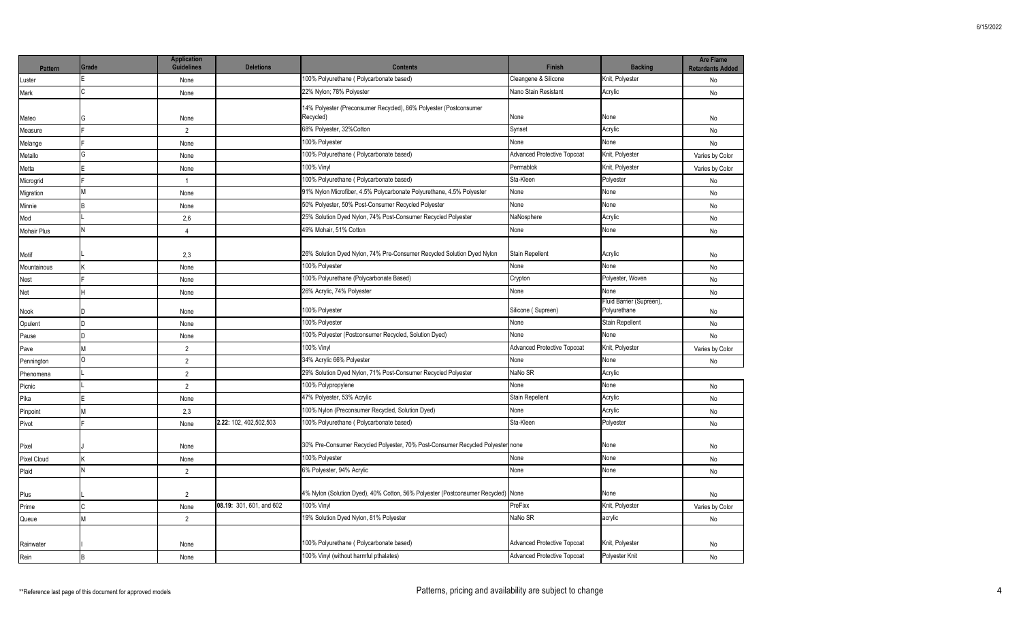| <b>Pattern</b> | Grade | <b>Application</b><br><b>Guidelines</b> | <b>Deletions</b>         | <b>Contents</b>                                                                | <b>Finish</b>                      | <b>Backing</b>                           | <b>Are Flame</b><br><b>Retardants Added</b> |
|----------------|-------|-----------------------------------------|--------------------------|--------------------------------------------------------------------------------|------------------------------------|------------------------------------------|---------------------------------------------|
| _uster         |       | None                                    |                          | 100% Polyurethane (Polycarbonate based)                                        | Cleangene & Silicone               | Knit, Polyester                          | No                                          |
| Mark           | C     | None                                    |                          | 22% Nylon; 78% Polyester                                                       | Nano Stain Resistant               | Acrylic                                  | No                                          |
| Mateo          | G     | None                                    |                          | 14% Polyester (Preconsumer Recycled), 86% Polyester (Postconsumer<br>Recycled) | None                               | None                                     | No                                          |
| Measure        |       | $\overline{2}$                          |                          | 68% Polyester, 32%Cotton                                                       | Synset                             | Acrylic                                  | No                                          |
| Melange        |       | None                                    |                          | 100% Polyester                                                                 | None                               | None                                     | No                                          |
| Metallo        | G     | None                                    |                          | 100% Polyurethane (Polycarbonate based)                                        | <b>Advanced Protective Topcoat</b> | Knit, Polyester                          | Varies by Color                             |
| Metta          | F     | None                                    |                          | 100% Vinyl                                                                     | Permablok                          | Knit, Polyester                          | Varies by Color                             |
| Microgrid      |       | $\overline{1}$                          |                          | 100% Polyurethane (Polycarbonate based)                                        | Sta-Kleen                          | Polyester                                | No                                          |
| Migration      | M     | None                                    |                          | 91% Nylon Microfiber, 4.5% Polycarbonate Polyurethane, 4.5% Polyester          | None                               | None                                     | No                                          |
| Minnie         | R.    | None                                    |                          | 50% Polyester, 50% Post-Consumer Recycled Polyester                            | None                               | None                                     | No                                          |
| Mod            |       | 2,6                                     |                          | 25% Solution Dyed Nylon, 74% Post-Consumer Recycled Polyester                  | NaNosphere                         | Acrylic                                  | No                                          |
| Mohair Plus    | N     | $\overline{4}$                          |                          | 49% Mohair, 51% Cotton                                                         | None                               | None                                     | No                                          |
| Motif          |       | 2,3                                     |                          | 26% Solution Dyed Nylon, 74% Pre-Consumer Recycled Solution Dyed Nylon         | <b>Stain Repellent</b>             | Acrylic                                  | No                                          |
| Mountainous    |       | None                                    |                          | 100% Polyester                                                                 | None                               | None                                     | No                                          |
| Nest           |       | None                                    |                          | 100% Polyurethane (Polycarbonate Based)                                        | Crypton                            | Polyester, Woven                         | No                                          |
| Net            | Н     | None                                    |                          | 26% Acrylic, 74% Polyester                                                     | None                               | None                                     | No                                          |
| Nook           | ın    | None                                    |                          | 100% Polyester                                                                 | Silicone (Supreen)                 | Fluid Barrier (Supreen),<br>Polyurethane | No                                          |
| Opulent        | D     | None                                    |                          | 100% Polyester                                                                 | None                               | Stain Repellent                          | No                                          |
| Pause          | ID.   | None                                    |                          | 100% Polyester (Postconsumer Recycled, Solution Dyed)                          | None                               | None                                     | <b>No</b>                                   |
| Pave           | M     | $\overline{2}$                          |                          | 100% Vinyl                                                                     | <b>Advanced Protective Topcoat</b> | Knit, Polyester                          | Varies by Color                             |
| Pennington     | O     | $\overline{2}$                          |                          | 34% Acrylic 66% Polyester                                                      | None                               | None                                     | No                                          |
| Phenomena      |       | $\overline{2}$                          |                          | 29% Solution Dyed Nylon, 71% Post-Consumer Recycled Polyester                  | NaNo SR                            | Acrylic                                  |                                             |
| Picnic         |       | $\overline{2}$                          |                          | 100% Polypropylene                                                             | None                               | None                                     | No                                          |
| Pika           |       | None                                    |                          | 47% Polyester, 53% Acrylic                                                     | <b>Stain Repellent</b>             | Acrylic                                  | No                                          |
| Pinpoint       | M     | 2,3                                     |                          | 100% Nylon (Preconsumer Recycled, Solution Dyed)                               | None                               | Acrylic                                  | No                                          |
| Pivot          |       | None                                    | 2.22: 102, 402, 502, 503 | 100% Polyurethane (Polycarbonate based)                                        | Sta-Kleen                          | Polyester                                | No                                          |
| Pixel          |       | None                                    |                          | 30% Pre-Consumer Recycled Polyester, 70% Post-Consumer Recycled Polyester none |                                    | None                                     | No                                          |
| Pixel Cloud    |       | None                                    |                          | 100% Polyester                                                                 | None                               | None                                     | No                                          |
| Plaid          | N     | $\overline{2}$                          |                          | 6% Polyester, 94% Acrylic                                                      | None                               | None                                     | No                                          |
| Plus           |       | $\overline{2}$                          |                          | 4% Nylon (Solution Dyed), 40% Cotton, 56% Polyester (Postconsumer Recycled)    | None                               | None                                     | No                                          |
| Prime          | C     | None                                    | 08.19: 301, 601, and 602 | 100% Vinyl                                                                     | PreFixx                            | Knit, Polyester                          | Varies by Color                             |
| Queue          | M     | $\overline{2}$                          |                          | 19% Solution Dyed Nylon, 81% Polyester                                         | NaNo SR                            | acrylic                                  | No                                          |
| Rainwater      |       | None                                    |                          | 100% Polyurethane (Polycarbonate based)                                        | <b>Advanced Protective Topcoat</b> | Knit, Polyester                          | No                                          |
| Rein           |       | None                                    |                          | 100% Vinyl (without harmful pthalates)                                         | <b>Advanced Protective Topcoat</b> | Polyester Knit                           | No                                          |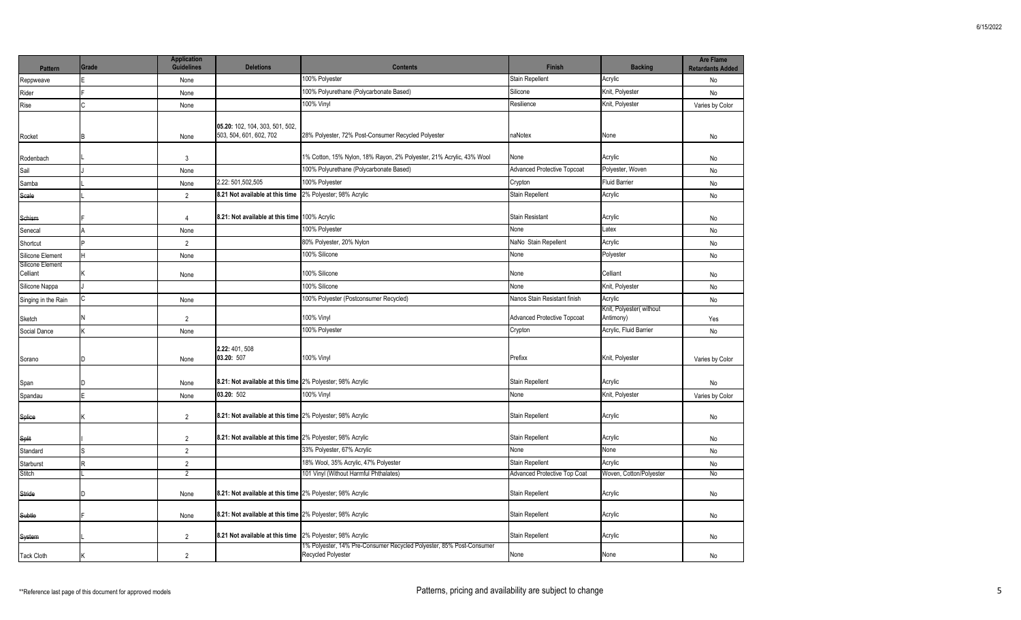| Pattern                      | Grade | <b>Application</b><br><b>Guidelines</b> | <b>Deletions</b>                                           | <b>Contents</b>                                                      | Finish                              | <b>Backing</b>                       | <b>Are Flame</b><br><b>Retardants Added</b> |
|------------------------------|-------|-----------------------------------------|------------------------------------------------------------|----------------------------------------------------------------------|-------------------------------------|--------------------------------------|---------------------------------------------|
| Reppweave                    |       | None                                    |                                                            | 100% Polyester                                                       | Stain Repellent                     | Acrylic                              | No                                          |
| Rider                        |       | None                                    |                                                            | 100% Polyurethane (Polycarbonate Based)                              | Silicone                            | Knit, Polyester                      | No                                          |
| Rise                         |       | None                                    |                                                            | 100% Vinyl                                                           | Resilience                          | Knit, Polyester                      | Varies by Color                             |
| Rocket                       |       | None                                    | 05.20: 102, 104, 303, 501, 502,<br>503, 504, 601, 602, 702 | 28% Polyester, 72% Post-Consumer Recycled Polyester                  | naNotex                             | None                                 | No                                          |
| Rodenbach                    |       | $\mathbf{3}$                            |                                                            | 1% Cotton, 15% Nylon, 18% Rayon, 2% Polyester, 21% Acrylic, 43% Wool | None                                | Acrylic                              | No                                          |
| Sail                         |       | None                                    |                                                            | 100% Polyurethane (Polycarbonate Based)                              | <b>Advanced Protective Topcoat</b>  | Polyester, Woven                     | No                                          |
| Samba                        |       | None                                    | 2.22: 501,502,505                                          | 100% Polyester                                                       | Crypton                             | <b>Fluid Barrier</b>                 | No                                          |
| Scale                        |       | $\overline{2}$                          | 8.21 Not available at this time                            | 2% Polyester; 98% Acrylic                                            | Stain Repellent                     | Acrylic                              | No                                          |
| Schism                       |       | $\overline{4}$                          | 8.21: Not available at this time 100% Acrylic              |                                                                      | Stain Resistant                     | Acrylic                              | No                                          |
| Senecal                      |       | None                                    |                                                            | 100% Polyester                                                       | None                                | Latex                                | No                                          |
| Shortcut                     |       | $\overline{2}$                          |                                                            | 80% Polyester, 20% Nylon                                             | NaNo Stain Repellent                | Acrylic                              | No                                          |
| Silicone Element             |       | None                                    |                                                            | 100% Silicone                                                        | None                                | Polyester                            | No                                          |
| Silicone Element<br>Celliant |       | None                                    |                                                            | 100% Silicone                                                        | None                                | Celliant                             | No                                          |
| Silicone Nappa               |       |                                         |                                                            | 100% Silicone                                                        | None                                | Knit, Polyester                      | No                                          |
| Singing in the Rain          |       | None                                    |                                                            | 100% Polyester (Postconsumer Recycled)                               | Nanos Stain Resistant finish        | Acrylic                              | No                                          |
| Sketch                       |       | $\overline{2}$                          |                                                            | 100% Vinyl                                                           | <b>Advanced Protective Topcoat</b>  | Knit, Polyester(without<br>Antimony) | Yes                                         |
| Social Dance                 |       | None                                    |                                                            | 100% Polyester                                                       | Crypton                             | Acrylic, Fluid Barrier               | No                                          |
| Sorano                       |       | None                                    | 2.22: 401, 508<br>03.20: 507                               | 100% Vinyl                                                           | Prefixx                             | Knit, Polyester                      | Varies by Color                             |
| Span                         |       | None                                    | 8.21: Not available at this time 2% Polyester; 98% Acrylic |                                                                      | Stain Repellent                     | Acrylic                              | No                                          |
| Spandau                      |       | None                                    | 03.20: 502                                                 | 100% Vinyl                                                           | None                                | Knit, Polyester                      | Varies by Color                             |
| Splice                       |       | $\overline{2}$                          | 8.21: Not available at this time 2% Polyester; 98% Acrylic |                                                                      | Stain Repellent                     | Acrylic                              | No                                          |
| Split                        |       | $\overline{2}$                          | 8.21: Not available at this time 2% Polyester; 98% Acrylic |                                                                      | Stain Repellent                     | Acrylic                              | No                                          |
| Standard                     |       | $\overline{2}$                          |                                                            | 33% Polyester, 67% Acrylic                                           | None                                | None                                 | No                                          |
| Starburst                    |       | $\overline{2}$                          |                                                            | 18% Wool, 35% Acrylic, 47% Polyester                                 | Stain Repellent                     | Acrylic                              | No                                          |
| Stitch                       |       | $\overline{2}$                          |                                                            | 101 Vinyl (Without Harmful Phthalates)                               | <b>Advanced Protective Top Coat</b> | Woven, Cotton/Polyester              | <b>No</b>                                   |
| Stride                       |       | None                                    | 8.21: Not available at this time 2% Polyester; 98% Acrylic |                                                                      | Stain Repellent                     | Acrylic                              | No                                          |
| Subtle                       |       | None                                    | 8.21: Not available at this time 2% Polyester; 98% Acrylic |                                                                      | Stain Repellent                     | Acrylic                              | No                                          |
| System                       |       | $\overline{2}$                          | 8.21 Not available at this time 2% Polyester; 98% Acrylic  | 1% Polyester, 14% Pre-Consumer Recycled Polyester, 85% Post-Consumer | Stain Repellent                     | Acrylic                              | No                                          |
| <b>Tack Cloth</b>            |       | $\overline{2}$                          |                                                            | Recycled Polyester                                                   | None                                | None                                 | No                                          |